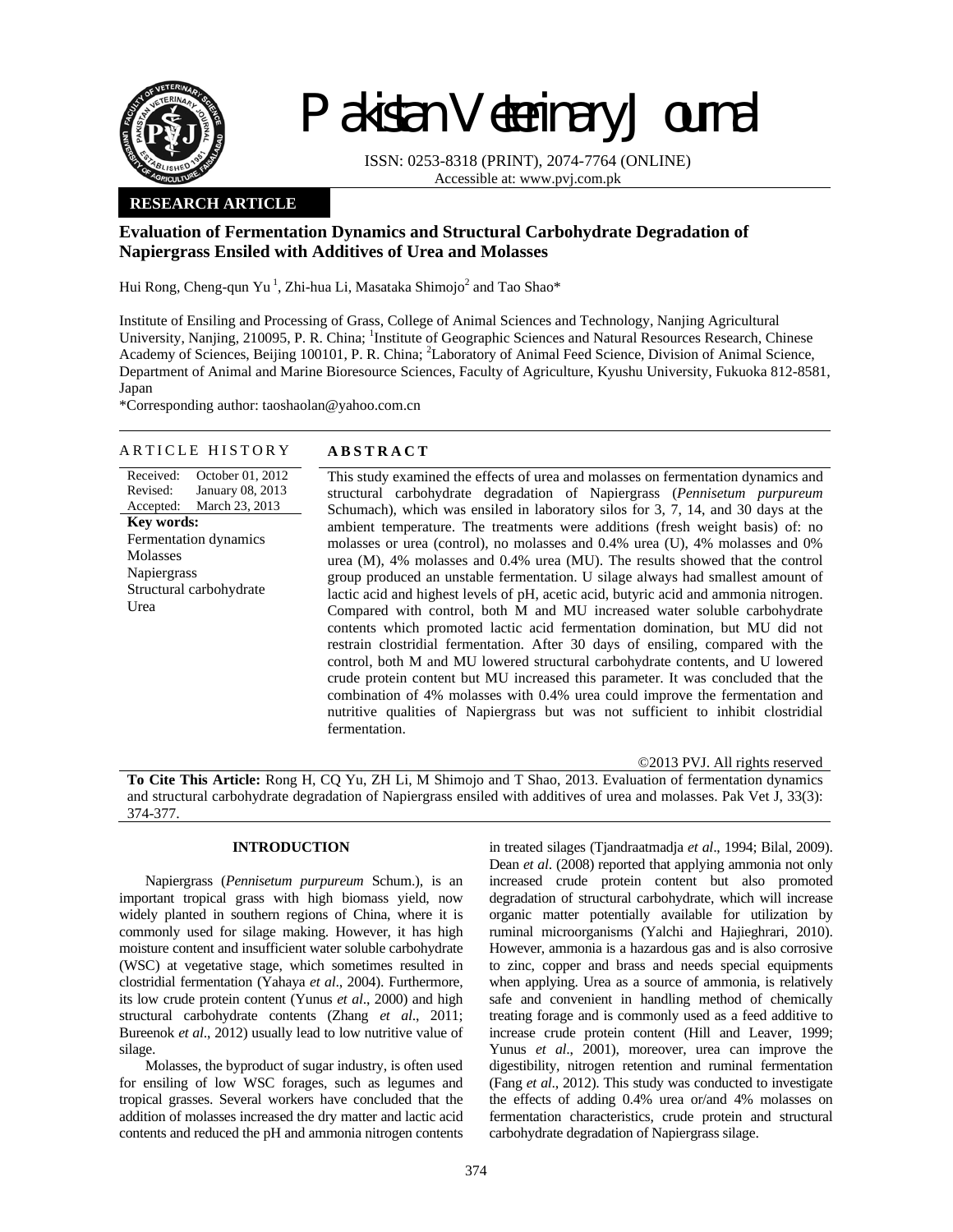

# Pakistan Veterinary Journal

ISSN: 0253-8318 (PRINT), 2074-7764 (ONLINE) Accessible at: www.pvj.com.pk

# **RESEARCH ARTICLE**

# **Evaluation of Fermentation Dynamics and Structural Carbohydrate Degradation of Napiergrass Ensiled with Additives of Urea and Molasses**

Hui Rong, Cheng-qun Yu<sup>1</sup>, Zhi-hua Li, Masataka Shimojo<sup>2</sup> and Tao Shao\*

Institute of Ensiling and Processing of Grass, College of Animal Sciences and Technology, Nanjing Agricultural University, Nanjing, 210095, P. R. China; <sup>1</sup>Institute of Geographic Sciences and Natural Resources Research, Chinese Academy of Sciences, Beijing 100101, P. R. China; <sup>2</sup>Laboratory of Animal Feed Science, Division of Animal Science, Department of Animal and Marine Bioresource Sciences, Faculty of Agriculture, Kyushu University, Fukuoka 812-8581, Japan

\*Corresponding author: taoshaolan@yahoo.com.cn

## ARTICLE HISTORY **ABSTRACT**

Received: Revised: Accepted: October 01, 2012 January 08, 2013 March 23, 2013 **Key words:**  Fermentation dynamics Molasses Napiergrass Structural carbohydrate Urea

This study examined the effects of urea and molasses on fermentation dynamics and structural carbohydrate degradation of Napiergrass (*Pennisetum purpureum* Schumach), which was ensiled in laboratory silos for 3, 7, 14, and 30 days at the ambient temperature. The treatments were additions (fresh weight basis) of: no molasses or urea (control), no molasses and 0.4% urea (U), 4% molasses and 0% urea (M), 4% molasses and 0.4% urea (MU). The results showed that the control group produced an unstable fermentation. U silage always had smallest amount of lactic acid and highest levels of pH, acetic acid, butyric acid and ammonia nitrogen. Compared with control, both M and MU increased water soluble carbohydrate contents which promoted lactic acid fermentation domination, but MU did not restrain clostridial fermentation. After 30 days of ensiling, compared with the control, both M and MU lowered structural carbohydrate contents, and U lowered crude protein content but MU increased this parameter. It was concluded that the combination of 4% molasses with 0.4% urea could improve the fermentation and nutritive qualities of Napiergrass but was not sufficient to inhibit clostridial fermentation.

©2013 PVJ. All rights reserved

**To Cite This Article:** Rong H, CQ Yu, ZH Li, M Shimojo and T Shao, 2013. Evaluation of fermentation dynamics and structural carbohydrate degradation of Napiergrass ensiled with additives of urea and molasses. Pak Vet J, 33(3): 374-377.

# **INTRODUCTION**

Napiergrass (*Pennisetum purpureum* Schum.), is an important tropical grass with high biomass yield, now widely planted in southern regions of China, where it is commonly used for silage making. However, it has high moisture content and insufficient water soluble carbohydrate (WSC) at vegetative stage, which sometimes resulted in clostridial fermentation (Yahaya *et al*., 2004). Furthermore, its low crude protein content (Yunus *et al*., 2000) and high structural carbohydrate contents (Zhang *et al*., 2011; Bureenok *et al*., 2012) usually lead to low nutritive value of silage.

Molasses, the byproduct of sugar industry, is often used for ensiling of low WSC forages, such as legumes and tropical grasses. Several workers have concluded that the addition of molasses increased the dry matter and lactic acid contents and reduced the pH and ammonia nitrogen contents in treated silages (Tjandraatmadja *et al*., 1994; Bilal, 2009). Dean *et al*. (2008) reported that applying ammonia not only increased crude protein content but also promoted degradation of structural carbohydrate, which will increase organic matter potentially available for utilization by ruminal microorganisms (Yalchi and Hajieghrari, 2010). However, ammonia is a hazardous gas and is also corrosive to zinc, copper and brass and needs special equipments when applying. Urea as a source of ammonia, is relatively safe and convenient in handling method of chemically treating forage and is commonly used as a feed additive to increase crude protein content (Hill and Leaver, 1999; Yunus *et al*., 2001), moreover, urea can improve the digestibility, nitrogen retention and ruminal fermentation (Fang *et al*., 2012). This study was conducted to investigate the effects of adding 0.4% urea or/and 4% molasses on fermentation characteristics, crude protein and structural carbohydrate degradation of Napiergrass silage.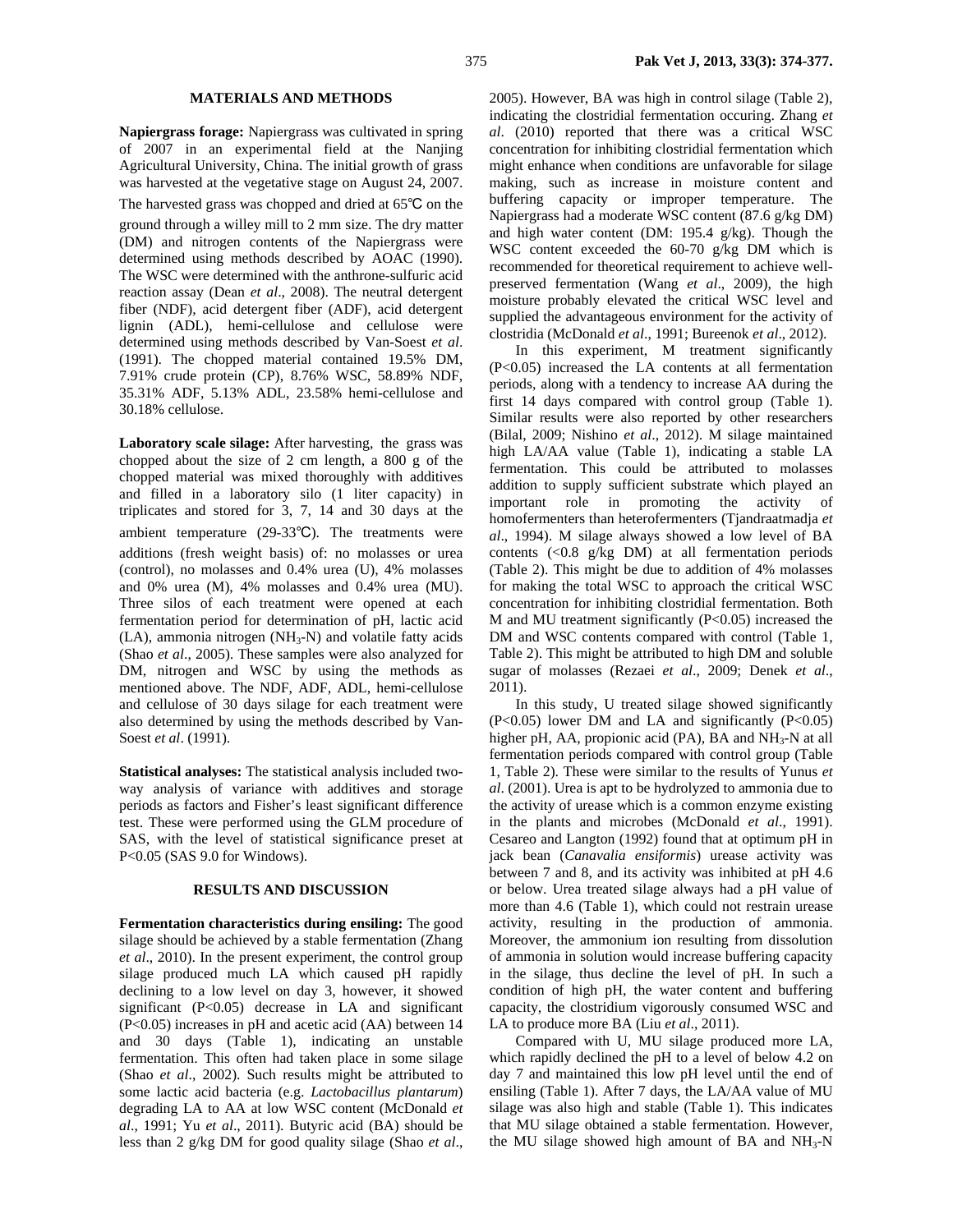### **MATERIALS AND METHODS**

**Napiergrass forage:** Napiergrass was cultivated in spring of 2007 in an experimental field at the Nanjing Agricultural University, China. The initial growth of grass was harvested at the vegetative stage on August 24, 2007.

The harvested grass was chopped and dried at 65℃ on the ground through a willey mill to 2 mm size. The dry matter (DM) and nitrogen contents of the Napiergrass were determined using methods described by AOAC (1990). The WSC were determined with the anthrone-sulfuric acid reaction assay (Dean *et al*., 2008). The neutral detergent fiber (NDF), acid detergent fiber (ADF), acid detergent lignin (ADL), hemi-cellulose and cellulose were determined using methods described by Van-Soest *et al*. (1991). The chopped material contained 19.5% DM, 7.91% crude protein (CP), 8.76% WSC, 58.89% NDF, 35.31% ADF, 5.13% ADL, 23.58% hemi-cellulose and 30.18% cellulose.

**Laboratory scale silage:** After harvesting, the grass was chopped about the size of 2 cm length, a 800 g of the chopped material was mixed thoroughly with additives and filled in a laboratory silo (1 liter capacity) in triplicates and stored for 3, 7, 14 and 30 days at the ambient temperature (29-33℃). The treatments were additions (fresh weight basis) of: no molasses or urea (control), no molasses and 0.4% urea (U), 4% molasses and 0% urea (M), 4% molasses and 0.4% urea (MU). Three silos of each treatment were opened at each fermentation period for determination of pH, lactic acid  $(LA)$ , ammonia nitrogen  $(NH<sub>3</sub>-N)$  and volatile fatty acids (Shao *et al*., 2005). These samples were also analyzed for DM, nitrogen and WSC by using the methods as mentioned above. The NDF, ADF, ADL, hemi-cellulose and cellulose of 30 days silage for each treatment were also determined by using the methods described by Van-Soest *et al*. (1991).

**Statistical analyses:** The statistical analysis included twoway analysis of variance with additives and storage periods as factors and Fisher's least significant difference test. These were performed using the GLM procedure of SAS, with the level of statistical significance preset at P<0.05 (SAS 9.0 for Windows).

### **RESULTS AND DISCUSSION**

**Fermentation characteristics during ensiling:** The good silage should be achieved by a stable fermentation (Zhang *et al*., 2010). In the present experiment, the control group silage produced much LA which caused pH rapidly declining to a low level on day 3, however, it showed significant (P<0.05) decrease in LA and significant (P<0.05) increases in pH and acetic acid (AA) between 14 and 30 days (Table 1), indicating an unstable fermentation. This often had taken place in some silage (Shao *et al*., 2002). Such results might be attributed to some lactic acid bacteria (e.g. *Lactobacillus plantarum*) degrading LA to AA at low WSC content (McDonald *et al*., 1991; Yu *et al*., 2011). Butyric acid (BA) should be less than 2 g/kg DM for good quality silage (Shao *et al*.,

2005). However, BA was high in control silage (Table 2), indicating the clostridial fermentation occuring. Zhang *et al*. (2010) reported that there was a critical WSC concentration for inhibiting clostridial fermentation which might enhance when conditions are unfavorable for silage making, such as increase in moisture content and buffering capacity or improper temperature. The Napiergrass had a moderate WSC content (87.6 g/kg DM) and high water content (DM: 195.4 g/kg). Though the WSC content exceeded the 60-70 g/kg DM which is recommended for theoretical requirement to achieve wellpreserved fermentation (Wang *et al*., 2009), the high moisture probably elevated the critical WSC level and supplied the advantageous environment for the activity of clostridia (McDonald *et al*., 1991; Bureenok *et al*., 2012).

In this experiment, M treatment significantly (P<0.05) increased the LA contents at all fermentation periods, along with a tendency to increase AA during the first 14 days compared with control group (Table 1). Similar results were also reported by other researchers (Bilal, 2009; Nishino *et al*., 2012). M silage maintained high LA/AA value (Table 1), indicating a stable LA fermentation. This could be attributed to molasses addition to supply sufficient substrate which played an important role in promoting the activity of homofermenters than heterofermenters (Tjandraatmadja *et al*., 1994). M silage always showed a low level of BA contents (<0.8 g/kg DM) at all fermentation periods (Table 2). This might be due to addition of 4% molasses for making the total WSC to approach the critical WSC concentration for inhibiting clostridial fermentation. Both M and MU treatment significantly  $(P<0.05)$  increased the DM and WSC contents compared with control (Table 1, Table 2). This might be attributed to high DM and soluble sugar of molasses (Rezaei *et al*., 2009; Denek *et al*., 2011).

In this study, U treated silage showed significantly  $(P<0.05)$  lower DM and LA and significantly  $(P<0.05)$ higher pH, AA, propionic acid (PA), BA and  $NH<sub>3</sub>$ -N at all fermentation periods compared with control group (Table 1, Table 2). These were similar to the results of Yunus *et al*. (2001). Urea is apt to be hydrolyzed to ammonia due to the activity of urease which is a common enzyme existing in the plants and microbes (McDonald *et al*., 1991). Cesareo and Langton (1992) found that at optimum pH in jack bean (*Canavalia ensiformis*) urease activity was between 7 and 8, and its activity was inhibited at pH 4.6 or below. Urea treated silage always had a pH value of more than 4.6 (Table 1), which could not restrain urease activity, resulting in the production of ammonia. Moreover, the ammonium ion resulting from dissolution of ammonia in solution would increase buffering capacity in the silage, thus decline the level of pH. In such a condition of high pH, the water content and buffering capacity, the clostridium vigorously consumed WSC and LA to produce more BA (Liu *et al*., 2011).

Compared with U, MU silage produced more LA, which rapidly declined the pH to a level of below 4.2 on day 7 and maintained this low pH level until the end of ensiling (Table 1). After 7 days, the LA/AA value of MU silage was also high and stable (Table 1). This indicates that MU silage obtained a stable fermentation. However, the MU silage showed high amount of BA and  $NH<sub>3</sub>-N$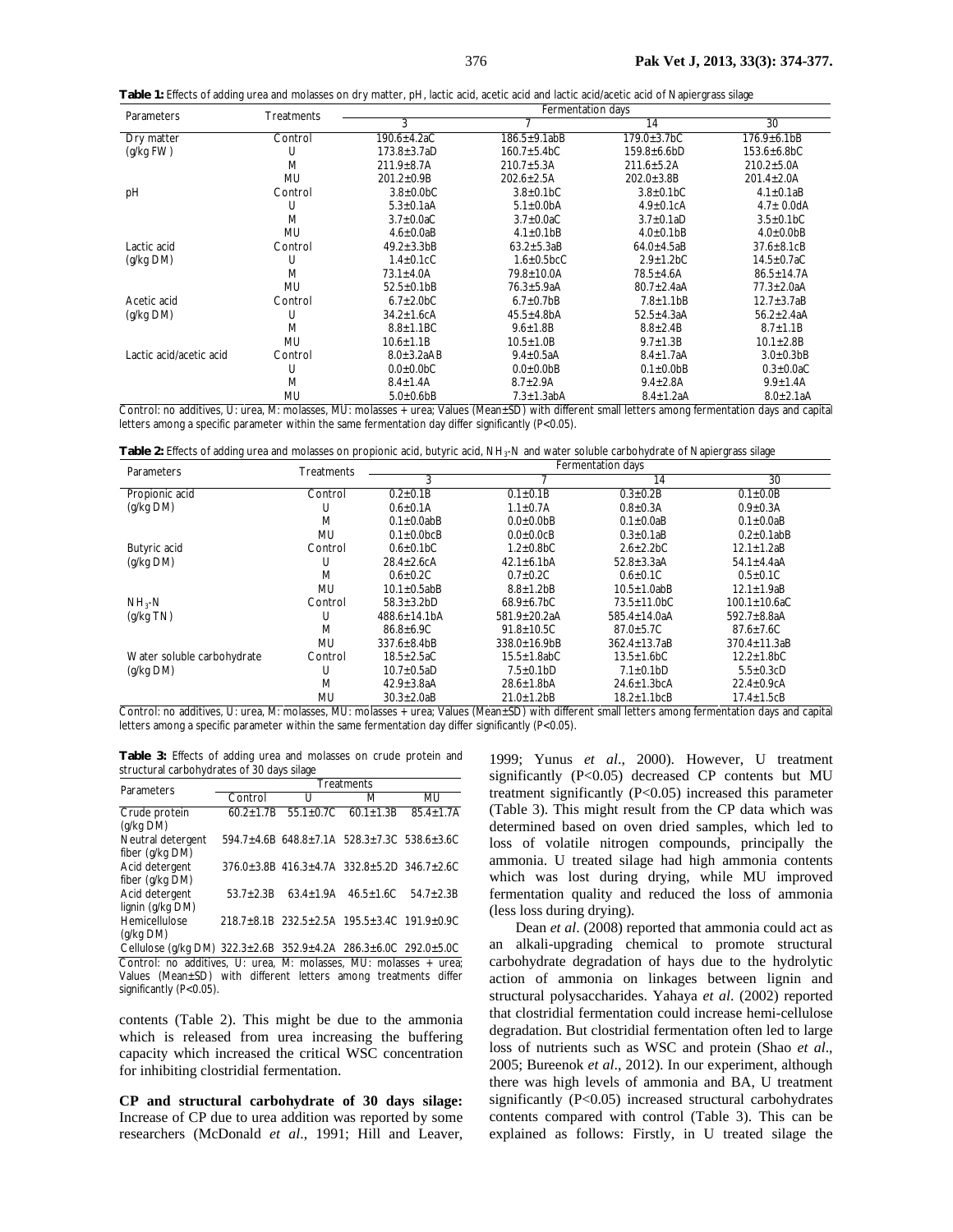**Table 1:** Effects of adding urea and molasses on dry matter, pH, lactic acid, acetic acid and lactic acid/acetic acid of Napiergrass silage

| <b>Parameters</b>       | Treatments | Fermentation days                      |                              |                              |                              |  |  |  |
|-------------------------|------------|----------------------------------------|------------------------------|------------------------------|------------------------------|--|--|--|
|                         |            | 3                                      |                              | 14                           | 30                           |  |  |  |
| Dry matter              | Control    | 190.6±4.2aC                            | $186.5 \pm 9.1$ abB          | $179.0 \pm 3.7 bC$           | $176.9 \pm 6.1$ bB           |  |  |  |
| (g/kg FW)               | U          | $173.8 \pm 3.7a$ D<br>$160.7 + 5.4 bC$ |                              | $159.8 + 6.6 bD$             | $153.6 \pm 6.8 bC$           |  |  |  |
|                         | M          | $211.9 \pm 8.7$ A                      | $210.7 + 5.3A$               | $211.6 \pm 5.2A$             | $210.2 + 5.0A$               |  |  |  |
|                         | <b>MU</b>  | $201.2 \pm 0.9B$                       | $202.6 + 2.5A$               | $202.0 \pm 3.8B$             | $201.4 \pm 2.0$ A            |  |  |  |
| pH                      | Control    | $3.8\pm0.0$ <sub>b</sub> C             | $3.8 \pm 0.1 bC$             | $3.8 \pm 0.1 bC$             | $4.1 \pm 0.1$ aB             |  |  |  |
|                         | U          | $5.3 \pm 0.1aA$                        | $5.1 \pm 0.0$ bA             | $4.9 \pm 0.1$ cA             | $4.7 \pm 0.0$ dA             |  |  |  |
|                         | M          | $3.7\pm0.0$ aC                         | $3.7\pm0.0$ aC               | $3.7\pm0.1aD$                | $3.5 \pm 0.1 bC$             |  |  |  |
|                         | MU         | $4.6 \pm 0.0aB$                        | $4.1 \pm 0.1$ <sub>b</sub> B | $4.0 \pm 0.1$ <sub>b</sub> B | $4.0 \pm 0.0$ <sub>b</sub> B |  |  |  |
| Lactic acid             | Control    | $49.2 \pm 3.3$ bB                      | $63.2 \pm 5.3aB$             | $64.0 \pm 4.5$ aB            | $37.6 \pm 8.1 \text{c}B$     |  |  |  |
| (g/kg DM)               | U          | $1.4 \pm 0.1$ cC                       | $1.6 \pm 0.5$ bcC            | $2.9 \pm 1.2 bC$             | $14.5 \pm 0.7$ aC            |  |  |  |
|                         | M          | $73.1 \pm 4.0$ A                       | 79.8±10.0A                   | $78.5 \pm 4.6$ A             | $86.5 \pm 14.7$ A            |  |  |  |
|                         | <b>MU</b>  | $52.5 \pm 0.1$ bB                      | $76.3 \pm 5.9aA$             | $80.7 \pm 2.4a$ A            | $77.3 \pm 2.0aA$             |  |  |  |
| Acetic acid             | Control    | $6.7 \pm 2.0 bC$                       | $6.7 \pm 0.7$ <sub>b</sub> B | $7.8 + 1.1$ bB               | $12.7 \pm 3.7aB$             |  |  |  |
| (g/kg DM)               | U          | $34.2 \pm 1.6$ cA                      | $45.5 \pm 4.8$ bA            | $52.5 \pm 4.3a$ A            | $56.2 \pm 2.4$ aA            |  |  |  |
|                         | M          | $8.8 \pm 1.1 BC$                       | $9.6 \pm 1.8 B$              | $8.8 \pm 2.4 B$              | $8.7 \pm 1.1 B$              |  |  |  |
|                         | MU         | $10.6 \pm 1.1B$                        | $10.5 \pm 1.0 B$             | $9.7 \pm 1.3 B$              | $10.1 \pm 2.8B$              |  |  |  |
| Lactic acid/acetic acid | Control    | $8.0 \pm 3.2aAB$                       | $9.4 \pm 0.5$ aA             | $8.4 \pm 1.7$ aA             | $3.0 \pm 0.3$ bB             |  |  |  |
|                         | U          | $0.0 + 0.0 bC$                         | $0.0 + 0.0$ <sub>b</sub> B   | $0.1 + 0.0$ <sub>b</sub> B   | $0.3 \pm 0.0$ aC             |  |  |  |
|                         | M          | $8.4 \pm 1.4$ A                        | $8.7 \pm 2.9$ A              | $9.4 \pm 2.8$ A              | $9.9 \pm 1.4$ A              |  |  |  |
|                         | MU         | $5.0 + 0.6$ <sub>b</sub> B             | $7.3 \pm 1.3$ abA            | $8.4 \pm 1.2$ aA             | $8.0 \pm 2.1$ aA             |  |  |  |

Control: no additives, U: urea, M: molasses, MU: molasses + urea; Values (Mean±SD) with different small letters among fermentation days and capital letters among a specific parameter within the same fermentation day differ significantly (P<0.05).

| Table 2: Effects of adding urea and molasses on propionic acid, butyric acid, NH <sub>3</sub> -N and water soluble carbohydrate of Napiergrass silage |  |  |
|-------------------------------------------------------------------------------------------------------------------------------------------------------|--|--|
|-------------------------------------------------------------------------------------------------------------------------------------------------------|--|--|

| Parameters                                                                                              | Treatments                      | Fermentation days                            |                                             |                                     |                                               |  |  |  |
|---------------------------------------------------------------------------------------------------------|---------------------------------|----------------------------------------------|---------------------------------------------|-------------------------------------|-----------------------------------------------|--|--|--|
|                                                                                                         |                                 | 3                                            |                                             | 14                                  | 30                                            |  |  |  |
| Propionic acid                                                                                          | Control                         | $0.2 \pm 0.1B$                               | $0.1 \pm 0.1 B$                             | $0.3 \pm 0.2B$                      | $0.1 \pm 0.0 B$                               |  |  |  |
| (q/kg DM)                                                                                               | U                               | $0.6 \pm 0.1$ A                              | $1.1 \pm 0.7$ A                             | $0.8{\pm}0.3A$                      | $0.9 \pm 0.3$ A                               |  |  |  |
|                                                                                                         | M                               | $0.1 \pm 0.0$ abB                            | $0.0 \pm 0.0$ <sub>b</sub> B                | $0.1 \pm 0.0$ aB                    | $0.1 \pm 0.0$ aB                              |  |  |  |
|                                                                                                         | MU                              | $0.1 + 0.0$ <sub>bc</sub> B                  | $0.0 + 0.0 \text{cB}$                       | $0.3 \pm 0.1$ aB                    | $0.2\pm0.1$ abB                               |  |  |  |
| Butyric acid                                                                                            | Control                         | $0.6 \pm 0.1 bC$                             | $1.2 + 0.8 bC$                              | $2.6 + 2.2 bC$                      | $12.1 \pm 1.2aB$                              |  |  |  |
| (q/kg DM)                                                                                               | U                               | $28.4 \pm 2.6$ cA                            | $42.1 \pm 6.1$ bA                           | $52.8 \pm 3.3a$ A                   | 54.1 $\pm$ 4.4aA                              |  |  |  |
|                                                                                                         | M                               | $0.6 + 0.2C$                                 | $0.7 + 0.2C$                                | $0.6 \pm 0.1$ C                     | $0.5 \pm 0.1$ C                               |  |  |  |
|                                                                                                         | MU                              | $10.1 \pm 0.5$ abB                           | $8.8 \pm 1.2$ <sub>b</sub> B                | $10.5 + 1.0$ abB                    | $12.1 \pm 1.9aB$                              |  |  |  |
| $NH_{3}$ -N                                                                                             | Control                         | $58.3 \pm 3.2 bD$                            | $68.9 \pm 6.7 bC$                           | $73.5 + 11.0 bC$                    | $100.1 \pm 10.6$ aC                           |  |  |  |
| (g/kg TN)                                                                                               | U                               | 488.6+14.1bA                                 | 581.9+20.2aA                                | 585.4+14.0aA                        | 592.7 $\pm$ 8.8aA                             |  |  |  |
|                                                                                                         | M                               | $86.8 + 6.9C$                                | $91.8 + 10.5C$                              | $87.0 + 5.7C$                       | $87.6 \pm 7.6$ C                              |  |  |  |
|                                                                                                         | MU                              | $337.6 \pm 8.4$ bB                           | $338.0 \pm 16.9$                            | $362.4 \pm 13.7$ aB                 | $370.4 \pm 11.3$ aB                           |  |  |  |
| Water soluble carbohydrate                                                                              | Control                         | $18.5 \pm 2.5$ aC                            | $15.5 \pm 1.8$ abC                          | $13.5 \pm 1.6 bC$                   | $12.2 \pm 1.8 bC$                             |  |  |  |
| (q/kg DM)                                                                                               | U                               | $10.7 \pm 0.5$ aD                            | $7.5 \pm 0.1 bD$                            | $7.1 \pm 0.1 bD$                    | $5.5 \pm 0.3$ cD                              |  |  |  |
|                                                                                                         | M                               | $42.9 \pm 3.8$ aA                            | $28.6 \pm 1.8$ bA                           | $24.6 \pm 1.3$ <sub>b</sub> cA      | $22.4 \pm 0.9cA$                              |  |  |  |
| $\overline{\phantom{a}}$ . $\overline{\phantom{a}}$<br>$\sim$ $\sim$ $\sim$ $\sim$ $\sim$ $\sim$ $\sim$ | MU<br>$\cdots$<br><b>B 81 1</b> | $30.3 \pm 2.0aB$<br>$\sqrt{1 + \frac{1}{2}}$ | $21.0 \pm 1.2$ <sub>b</sub> B<br>$201 - 11$ | $18.2 \pm 1.1$ <sub>bc</sub> B<br>. | $17.4 \pm 1.5$ cB<br>$\overline{\phantom{a}}$ |  |  |  |

Control: no additives, U: urea, M: molasses, MU: molasses + urea; Values (Mean±SD) with different small letters among fermentation days and capital letters among a specific parameter within the same fermentation day differ significantly (P<0.05).

|  |                                            |  |  | Table 3: Effects of adding urea and molasses on crude protein and |  |  |
|--|--------------------------------------------|--|--|-------------------------------------------------------------------|--|--|
|  | structural carbohydrates of 30 days silage |  |  |                                                                   |  |  |

| Parameters                                                                              | Treatments    |               |                                                                     |               |  |  |  |
|-----------------------------------------------------------------------------------------|---------------|---------------|---------------------------------------------------------------------|---------------|--|--|--|
|                                                                                         | Control       | U             | M                                                                   | MU            |  |  |  |
| Crude protein                                                                           | $602+17B$     | $55.1 + 0.7C$ | $60.1 + 1.3B$                                                       | $85.4 + 1.7A$ |  |  |  |
| (q/kg DM)                                                                               |               |               |                                                                     |               |  |  |  |
| Neutral detergent                                                                       |               |               | $594.7 \pm 4.6B$ 648.8 $\pm$ 7.1A 528.3 $\pm$ 7.3C 538.6 $\pm$ 3.6C |               |  |  |  |
| fiber (g/kg DM)                                                                         |               |               |                                                                     |               |  |  |  |
| Acid detergent                                                                          |               |               | $376.0 + 3.8B$ $416.3 + 4.7A$ $332.8 + 5.2D$ $346.7 + 2.6C$         |               |  |  |  |
| fiber (q/kq DM)                                                                         |               |               |                                                                     |               |  |  |  |
| Acid detergent                                                                          | $53.7 + 2.3B$ | $63.4 + 1.9A$ | $46.5 + 1.6C$                                                       | $54.7 + 2.3B$ |  |  |  |
| lignin (g/kg DM)                                                                        |               |               |                                                                     |               |  |  |  |
| Hemicellulose                                                                           |               |               | 218.7+8.1B 232.5+2.5A 195.5+3.4C 191.9+0.9C                         |               |  |  |  |
| (q/kg DM)                                                                               |               |               |                                                                     |               |  |  |  |
| Cellulose (q/kq DM) $322.3 \pm 2.6B$ $352.9 \pm 4.2A$ $286.3 \pm 6.0C$ $292.0 \pm 5.0C$ |               |               |                                                                     |               |  |  |  |
| Control: no additives the uses Memolasses MIL: molasses unroa                           |               |               |                                                                     |               |  |  |  |

Control: no additives, U: urea, M: molasses, MU: molasses + urea; Values (Mean±SD) with different letters among treatments differ significantly (P<0.05).

contents (Table 2). This might be due to the ammonia which is released from urea increasing the buffering capacity which increased the critical WSC concentration for inhibiting clostridial fermentation.

**CP and structural carbohydrate of 30 days silage:**  Increase of CP due to urea addition was reported by some researchers (McDonald *et al*., 1991; Hill and Leaver, 1999; Yunus *et al*., 2000). However, U treatment significantly (P<0.05) decreased CP contents but MU treatment significantly (P<0.05) increased this parameter (Table 3). This might result from the CP data which was determined based on oven dried samples, which led to loss of volatile nitrogen compounds, principally the ammonia. U treated silage had high ammonia contents which was lost during drying, while MU improved fermentation quality and reduced the loss of ammonia (less loss during drying).

Dean *et al*. (2008) reported that ammonia could act as an alkali-upgrading chemical to promote structural carbohydrate degradation of hays due to the hydrolytic action of ammonia on linkages between lignin and structural polysaccharides. Yahaya *et al*. (2002) reported that clostridial fermentation could increase hemi-cellulose degradation. But clostridial fermentation often led to large loss of nutrients such as WSC and protein (Shao *et al*., 2005; Bureenok *et al*., 2012). In our experiment, although there was high levels of ammonia and BA, U treatment significantly (P<0.05) increased structural carbohydrates contents compared with control (Table 3). This can be explained as follows: Firstly, in U treated silage the